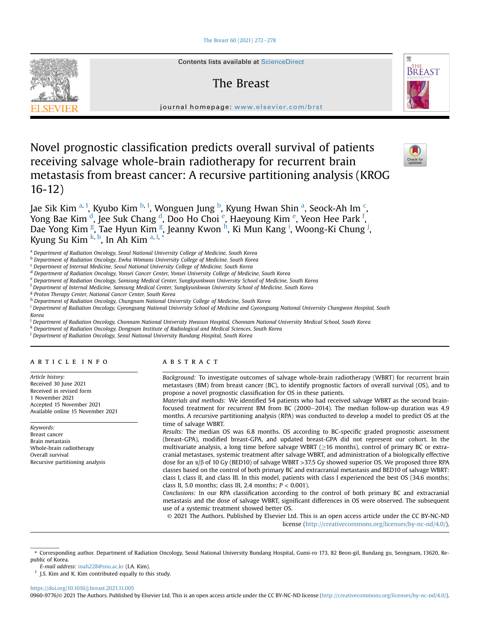# [The Breast 60 \(2021\) 272](https://doi.org/10.1016/j.breast.2021.11.005)-[278](https://doi.org/10.1016/j.breast.2021.11.005)



Contents lists available at ScienceDirect

# The Breast



journal homepage: [www.elsevier.com/brst](http://www.elsevier.com/brst)

Novel prognostic classification predicts overall survival of patients receiving salvage whole-brain radiotherapy for recurrent brain metastasis from breast cancer: A recursive partitioning analysis (KROG 16-12)



J[a](#page-0-0)e Sik Kim <sup>a, [1](#page-0-1)</sup>, Kyubo Kim <sup>[b,](#page-0-2) 1</sup>, Wonguen Jung <sup>[b](#page-0-2)</sup>, Kyung Hwan Shin <sup>a</sup>, Seo[c](#page-0-3)k-Ah Im <sup>c</sup>, Yong Bae Kim <sup>[d](#page-0-4)</sup>, J[e](#page-0-5)e Suk Chang <sup>d</sup>, Doo Ho Choi <sup>e</sup>, Haeyoung Kim <sup>e</sup>, Yeon Hee Park <sup>[f](#page-0-6)</sup>, Dae Yon[g](#page-0-7) Kim <sup>g</sup>, Tae Hyun Kim <sup>g</sup>, Jeanny Kwon <sup>[h](#page-0-8)</sup>, K[i](#page-0-9) Mun Kang <sup>i</sup>, Woong-Ki Chung <sup>[j](#page-0-10)</sup>, Kyung Su Kim <sup>[k,](#page-0-11) [b](#page-0-2)</sup>, In Ah Kim <sup>[a](#page-0-0), [l](#page-0-12), [\\*](#page-0-13)</sup>

<span id="page-0-0"></span><sup>a</sup> Department of Radiation Oncology, Seoul National University College of Medicine, South Korea

<span id="page-0-2"></span>**b Department of Radiation Oncology, Ewha Womans University College of Medicine, South Korea** 

<span id="page-0-3"></span><sup>c</sup> Department of Internal Medicine, Seoul National University College of Medicine, South Korea

<span id="page-0-4"></span><sup>d</sup> Department of Radiation Oncology, Yonsei Cancer Center, Yonsei University College of Medicine, South Korea

<span id="page-0-5"></span>e Department of Radiation Oncology, Samsung Medical Center, Sungkyunkwan University School of Medicine, South Korea

<span id="page-0-6"></span><sup>f</sup> Department of Internal Medicine, Samsung Medical Center, Sungkyunkwan University School of Medicine, South Korea

<span id="page-0-7"></span><sup>g</sup> Proton Therapy Center, National Cancer Center, South Korea

<span id="page-0-8"></span>h Department of Radiation Oncology, Chungnam National University College of Medicine, South Korea

<span id="page-0-9"></span><sup>i</sup> Department of Radiation Oncology, Gyeongsang National University School of Medicine and Gyeongsang National University Changwon Hospital, South Korea

<span id="page-0-10"></span><sup>j</sup> Department of Radiation Oncology, Chonnam National University Hwasun Hospital, Chonnam National University Medical School, South Korea

<span id="page-0-11"></span><sup>k</sup> Department of Radiation Oncology, Dongnam Institute of Radiological and Medical Sciences, South Korea

<span id="page-0-12"></span><sup>1</sup> Department of Radiation Oncology, Seoul National University Bundang Hospital, South Korea

# article info

Article history: Received 30 June 2021 Received in revised form 1 November 2021 Accepted 15 November 2021 Available online 15 November 2021

Keywords: Breast cancer Brain metastasis Whole-brain radiotherapy Overall survival Recursive partitioning analysis

### ABSTRACT

Background: To investigate outcomes of salvage whole-brain radiotherapy (WBRT) for recurrent brain metastases (BM) from breast cancer (BC), to identify prognostic factors of overall survival (OS), and to propose a novel prognostic classification for OS in these patients.

Materials and methods: We identified 54 patients who had received salvage WBRT as the second brainfocused treatment for recurrent BM from BC (2000-2014). The median follow-up duration was  $4.9$ months. A recursive partitioning analysis (RPA) was conducted to develop a model to predict OS at the time of salvage WBRT.

Results: The median OS was 6.8 months. OS according to BC-specific graded prognostic assessment (breast-GPA), modified breast-GPA, and updated breast-GPA did not represent our cohort. In the multivariate analysis, a long time before salvage WBRT ( $\geq$ 16 months), control of primary BC or extracranial metastases, systemic treatment after salvage WBRT, and administration of a biologically effective dose for an  $\alpha/\beta$  of 10 Gy (BED10) of salvage WBRT >37.5 Gy showed superior OS. We proposed three RPA classes based on the control of both primary BC and extracranial metastasis and BED10 of salvage WBRT: class I, class II, and class III. In this model, patients with class I experienced the best OS (34.6 months; class II, 5.0 months; class III, 2.4 months;  $P < 0.001$ ).

Conclusions: In our RPA classification according to the control of both primary BC and extracranial metastasis and the dose of salvage WBRT, significant differences in OS were observed. The subsequent use of a systemic treatment showed better OS.

© 2021 The Authors. Published by Elsevier Ltd. This is an open access article under the CC BY-NC-ND license [\(http://creativecommons.org/licenses/by-nc-nd/4.0/](http://creativecommons.org/licenses/by-nc-nd/4.0/)).

E-mail address: [inah228@snu.ac.kr](mailto:inah228@snu.ac.kr) (I.A. Kim).

<span id="page-0-1"></span> $1$  J.S. Kim and K. Kim contributed equally to this study.

<https://doi.org/10.1016/j.breast.2021.11.005>

0960-9776/© 2021 The Authors. Published by Elsevier Ltd. This is an open access article under the CC BY-NC-ND license ([http://creativecommons.org/licenses/by-nc-nd/4.0/\)](http://creativecommons.org/licenses/by-nc-nd/4.0/).

<span id="page-0-13"></span><sup>\*</sup> Corresponding author. Department of Radiation Oncology, Seoul National University Bundang Hospital, Gumi-ro 173, 82 Beon-gil, Bundang gu, Seongnam, 13620, Republic of Korea.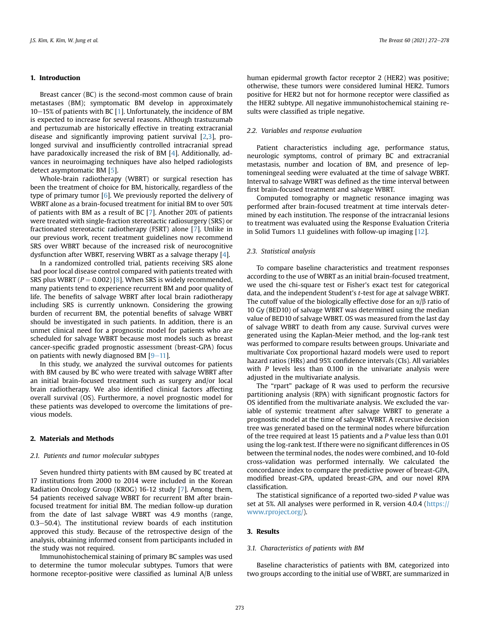# 1. Introduction

Breast cancer (BC) is the second-most common cause of brain metastases (BM); symptomatic BM develop in approximately  $10-15%$  $10-15%$  of patients with BC [1]. Unfortunately, the incidence of BM is expected to increase for several reasons. Although trastuzumab and pertuzumab are historically effective in treating extracranial disease and significantly improving patient survival [[2](#page-6-1)[,3\]](#page-6-2), prolonged survival and insufficiently controlled intracranial spread have paradoxically increased the risk of BM [[4](#page-6-3)]. Additionally, advances in neuroimaging techniques have also helped radiologists detect asymptomatic BM [\[5](#page-6-4)].

Whole-brain radiotherapy (WBRT) or surgical resection has been the treatment of choice for BM, historically, regardless of the type of primary tumor  $[6]$  $[6]$ . We previously reported the delivery of WBRT alone as a brain-focused treatment for initial BM to over 50% of patients with BM as a result of BC [[7](#page-6-6)]. Another 20% of patients were treated with single-fraction stereotactic radiosurgery (SRS) or fractionated stereotactic radiotherapy (FSRT) alone [\[7](#page-6-6)]. Unlike in our previous work, recent treatment guidelines now recommend SRS over WBRT because of the increased risk of neurocognitive dysfunction after WBRT, reserving WBRT as a salvage therapy [\[4\]](#page-6-3).

In a randomized controlled trial, patients receiving SRS alone had poor local disease control compared with patients treated with SRS plus WBRT ( $P = 0.002$ ) [[8\]](#page-6-7). When SRS is widely recommended, many patients tend to experience recurrent BM and poor quality of life. The benefits of salvage WBRT after local brain radiotherapy including SRS is currently unknown. Considering the growing burden of recurrent BM, the potential benefits of salvage WBRT should be investigated in such patients. In addition, there is an unmet clinical need for a prognostic model for patients who are scheduled for salvage WBRT because most models such as breast cancer-specific graded prognostic assessment (breast-GPA) focus on patients with newly diagnosed BM  $[9-11]$  $[9-11]$  $[9-11]$  $[9-11]$ .

In this study, we analyzed the survival outcomes for patients with BM caused by BC who were treated with salvage WBRT after an initial brain-focused treatment such as surgery and/or local brain radiotherapy. We also identified clinical factors affecting overall survival (OS). Furthermore, a novel prognostic model for these patients was developed to overcome the limitations of previous models.

# 2. Materials and Methods

### 2.1. Patients and tumor molecular subtypes

Seven hundred thirty patients with BM caused by BC treated at 17 institutions from 2000 to 2014 were included in the Korean Radiation Oncology Group (KROG) 16-12 study [\[7\]](#page-6-6). Among them, 54 patients received salvage WBRT for recurrent BM after brainfocused treatment for initial BM. The median follow-up duration from the date of last salvage WBRT was 4.9 months (range,  $0.3-50.4$ ). The institutional review boards of each institution approved this study. Because of the retrospective design of the analysis, obtaining informed consent from participants included in the study was not required.

Immunohistochemical staining of primary BC samples was used to determine the tumor molecular subtypes. Tumors that were hormone receptor-positive were classified as luminal A/B unless human epidermal growth factor receptor 2 (HER2) was positive; otherwise, these tumors were considered luminal HER2. Tumors positive for HER2 but not for hormone receptor were classified as the HER2 subtype. All negative immunohistochemical staining results were classified as triple negative.

# 2.2. Variables and response evaluation

Patient characteristics including age, performance status, neurologic symptoms, control of primary BC and extracranial metastasis, number and location of BM, and presence of leptomeningeal seeding were evaluated at the time of salvage WBRT. Interval to salvage WBRT was defined as the time interval between first brain-focused treatment and salvage WBRT.

Computed tomography or magnetic resonance imaging was performed after brain-focused treatment at time intervals determined by each institution. The response of the intracranial lesions to treatment was evaluated using the Response Evaluation Criteria in Solid Tumors 1.1 guidelines with follow-up imaging [\[12](#page-6-9)].

# 2.3. Statistical analysis

To compare baseline characteristics and treatment responses according to the use of WBRT as an initial brain-focused treatment, we used the chi-square test or Fisher's exact test for categorical data, and the independent Student's t-test for age at salvage WBRT. The cutoff value of the biologically effective dose for an  $\alpha/\beta$  ratio of 10 Gy (BED10) of salvage WBRT was determined using the median value of BED10 of salvage WBRT. OS was measured from the last day of salvage WBRT to death from any cause. Survival curves were generated using the Kaplan-Meier method, and the log-rank test was performed to compare results between groups. Univariate and multivariate Cox proportional hazard models were used to report hazard ratios (HRs) and 95% confidence intervals (CIs). All variables with  $P$  levels less than 0.100 in the univariate analysis were adjusted in the multivariate analysis.

The "rpart" package of R was used to perform the recursive partitioning analysis (RPA) with significant prognostic factors for OS identified from the multivariate analysis. We excluded the variable of systemic treatment after salvage WBRT to generate a prognostic model at the time of salvage WBRT. A recursive decision tree was generated based on the terminal nodes where bifurcation of the tree required at least 15 patients and a P value less than 0.01 using the log-rank test. If there were no significant differences in OS between the terminal nodes, the nodes were combined, and 10-fold cross-validation was performed internally. We calculated the concordance index to compare the predictive power of breast-GPA, modified breast-GPA, updated breast-GPA, and our novel RPA classification.

The statistical significance of a reported two-sided P value was set at 5%. All analyses were performed in R, version 4.0.4 ([https://](https://www.rproject.org/) [www.rproject.org/\)](https://www.rproject.org/).

# 3. Results

#### 3.1. Characteristics of patients with BM

Baseline characteristics of patients with BM, categorized into two groups according to the initial use of WBRT, are summarized in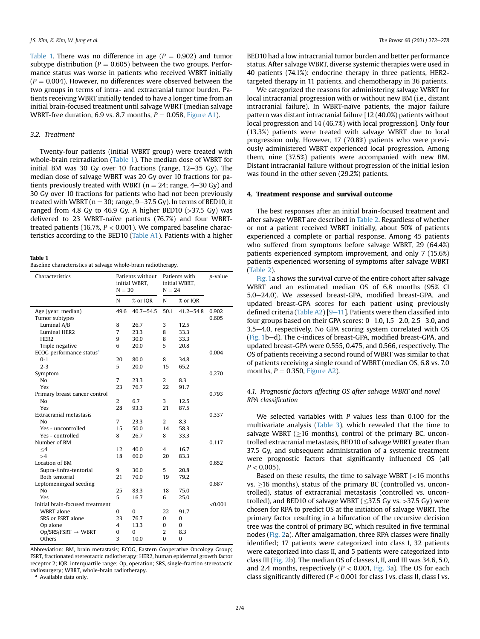[Table 1.](#page-2-0) There was no difference in age ( $P = 0.902$ ) and tumor subtype distribution ( $P = 0.605$ ) between the two groups. Performance status was worse in patients who received WBRT initially  $(P = 0.004)$ . However, no differences were observed between the two groups in terms of intra- and extracranial tumor burden. Patients receiving WBRT initially tended to have a longer time from an initial brain-focused treatment until salvage WBRT (median salvage WBRT-free duration, 6.9 vs. 8.7 months,  $P = 0.058$ , Figure A1).

# 3.2. Treatment

Twenty-four patients (initial WBRT group) were treated with whole-brain reirradiation ([Table 1](#page-2-0)). The median dose of WBRT for initial BM was 30 Gy over 10 fractions (range,  $12-35$  Gy). The median dose of salvage WBRT was 20 Gy over 10 fractions for patients previously treated with WBRT ( $n = 24$ ; range,  $4-30$  Gy) and 30 Gy over 10 fractions for patients who had not been previously treated with WBRT ( $n = 30$ ; range,  $9-37.5$  Gy). In terms of BED10, it ranged from 4.8 Gy to 46.9 Gy. A higher BED10 ( $>37.5$  Gy) was delivered to 23 WBRT-naïve patients (76.7%) and four WBRTtreated patients (16.7%,  $P < 0.001$ ). We compared baseline characteristics according to the BED10 (Table A1). Patients with a higher

# <span id="page-2-0"></span>Table 1

Baseline characteristics at salvage whole-brain radiotherapy.

| Characteristics                      | Patients without<br>initial WBRT,<br>$N = 30$ |               | Patients with<br>initial WBRT,<br>$N = 24$ |               | p-value |
|--------------------------------------|-----------------------------------------------|---------------|--------------------------------------------|---------------|---------|
|                                      | N                                             | % or IQR      | N                                          | % or IQR      |         |
| Age (year, median)                   | 49.6                                          | $40.7 - 54.5$ | 50.1                                       | $41.2 - 54.8$ | 0.902   |
| Tumor subtypes                       |                                               |               |                                            |               | 0.605   |
| Luminal A/B                          | 8                                             | 26.7          | 3                                          | 12.5          |         |
| <b>Luminal HER2</b>                  | 7                                             | 23.3          | 8                                          | 33.3          |         |
| HER <sub>2</sub>                     | 9                                             | 30.0          | 8                                          | 33.3          |         |
| Triple negative                      | 6                                             | 20.0          | 5                                          | 20.8          |         |
| ECOG performance status <sup>a</sup> |                                               |               |                                            |               | 0.004   |
| $0 - 1$                              | 20                                            | 80.0          | 8                                          | 34.8          |         |
| $2 - 3$                              | 5                                             | 20.0          | 15                                         | 65.2          |         |
| Symptom                              |                                               |               |                                            |               | 0.270   |
| No                                   | $\overline{7}$                                | 23.3          | $\overline{2}$                             | 8.3           |         |
| Yes                                  | 23                                            | 76.7          | 22                                         | 91.7          |         |
| Primary breast cancer control        |                                               |               |                                            |               | 0.793   |
| No                                   | 2                                             | 6.7           | 3                                          | 12.5          |         |
| Yes                                  | 28                                            | 93.3          | 21                                         | 87.5          |         |
| Extracranial metastasis              |                                               |               |                                            |               | 0.337   |
| No                                   | $\overline{7}$                                | 23.3          | $\overline{2}$                             | 8.3           |         |
| Yes - uncontrolled                   | 15                                            | 50.0          | 14                                         | 58.3          |         |
| Yes - controlled                     | 8                                             | 26.7          | 8                                          | 33.3          |         |
| Number of BM                         |                                               |               |                                            |               | 0.117   |
| $\leq 4$                             | 12                                            | 40.0          | 4                                          | 16.7          |         |
| >4                                   | 18                                            | 60.0          | 20                                         | 83.3          |         |
| Location of BM                       |                                               |               |                                            |               | 0.652   |
| Supra-/infra-tentorial               | 9                                             | 30.0          | 5                                          | 20.8          |         |
| <b>Both tentorial</b>                | 21                                            | 70.0          | 19                                         | 79.2          |         |
| Leptomeningeal seeding               |                                               |               |                                            |               | 0.687   |
| No                                   | 25                                            | 83.3          | 18                                         | 75.0          |         |
| Yes                                  | 5                                             | 16.7          | 6                                          | 25.0          |         |
| Initial brain-focused treatment      |                                               |               |                                            |               | < 0.001 |
| <b>WBRT</b> alone                    | $\Omega$                                      | $\Omega$      | 22                                         | 91.7          |         |
| SRS or FSRT alone                    | 23                                            | 76.7          | $\mathbf{0}$                               | $\bf{0}$      |         |
| Op alone                             | 4                                             | 13.3          | $\Omega$                                   | $\Omega$      |         |
| $Op/SRS/FSRT \rightarrow WBRT$       | 0                                             | 0             | 2                                          | 8.3           |         |
| Others                               | 3                                             | 10.0          | $\Omega$                                   | 0             |         |
|                                      |                                               |               |                                            |               |         |

Abbreviation: BM, brain metastasis; ECOG, Eastern Cooperative Oncology Group; FSRT, fractionated stereotactic radiotherapy; HER2, human epidermal growth factor receptor 2; IQR, interquartile range; Op, operation; SRS, single-fraction stereotactic radiosurgery; WBRT, whole-brain radiotherapy.

<span id="page-2-1"></span><sup>a</sup> Available data only.

BED10 had a low intracranial tumor burden and better performance status. After salvage WBRT, diverse systemic therapies were used in 40 patients (74.1%): endocrine therapy in three patients, HER2 targeted therapy in 11 patients, and chemotherapy in 36 patients.

We categorized the reasons for administering salvage WBRT for local intracranial progression with or without new BM (i.e., distant intracranial failure). In WBRT-naïve patients, the major failure pattern was distant intracranial failure [12 (40.0%) patients without local progression and 14 (46.7%) with local progression]. Only four (13.3%) patients were treated with salvage WBRT due to local progression only. However, 17 (70.8%) patients who were previously administered WBRT experienced local progression. Among them, nine (37.5%) patients were accompanied with new BM. Distant intracranial failure without progression of the initial lesion was found in the other seven (29.2%) patients.

# 4. Treatment response and survival outcome

The best responses after an initial brain-focused treatment and after salvage WBRT are described in [Table 2.](#page-3-0) Regardless of whether or not a patient received WBRT initially, about 50% of patients experienced a complete or partial response. Among 45 patients who suffered from symptoms before salvage WBRT, 29 (64.4%) patients experienced symptom improvement, and only 7 (15.6%) patients experienced worsening of symptoms after salvage WBRT ([Table 2\)](#page-3-0).

[Fig. 1](#page-3-1)a shows the survival curve of the entire cohort after salvage WBRT and an estimated median OS of 6.8 months (95% CI 5.0-24.0). We assessed breast-GPA, modified breast-GPA, and updated breast-GPA scores for each patient using previously defined criteria (Table A2)  $[9-11]$  $[9-11]$  $[9-11]$ . Patients were then classified into four groups based on their GPA scores:  $0-1.0$ ,  $1.5-2.0$ ,  $2.5-3.0$ , and 3.5-4.0, respectively. No GPA scoring system correlated with OS ([Fig. 1](#page-3-1)b-d). The c-indices of breast-GPA, modified breast-GPA, and updated breast-GPA were 0.555, 0.475, and 0.566, respectively. The OS of patients receiving a second round of WBRT was similar to that of patients receiving a single round of WBRT (median OS, 6.8 vs. 7.0 months,  $P = 0.350$ , Figure A2).

# 4.1. Prognostic factors affecting OS after salvage WBRT and novel RPA classification

We selected variables with P values less than 0.100 for the multivariate analysis [\(Table 3\)](#page-4-0), which revealed that the time to salvage WBRT ( $\geq$ 16 months), control of the primary BC, uncontrolled extracranial metastasis, BED10 of salvage WBRT greater than 37.5 Gy, and subsequent administration of a systemic treatment were prognostic factors that significantly influenced OS (all  $P < 0.005$ ).

Based on these results, the time to salvage WBRT (<16 months vs.  $\geq$ 16 months), status of the primary BC (controlled vs. uncontrolled), status of extracranial metastasis (controlled vs. uncontrolled), and BED10 of salvage WBRT ( $\leq$ 37.5 Gy vs. >37.5 Gy) were chosen for RPA to predict OS at the initiation of salvage WBRT. The primary factor resulting in a bifurcation of the recursive decision tree was the control of primary BC, which resulted in five terminal nodes [\(Fig. 2a](#page-4-1)). After amalgamation, three RPA classes were finally identified; 17 patients were categorized into class I, 32 patients were categorized into class II, and 5 patients were categorized into class III [\(Fig. 2b](#page-4-1)). The median OS of classes I, II, and III was 34.6, 5.0, and 2.4 months, respectively ( $P < 0.001$ , [Fig. 3a](#page-5-0)). The OS for each class significantly differed ( $P < 0.001$  for class I vs. class II, class I vs.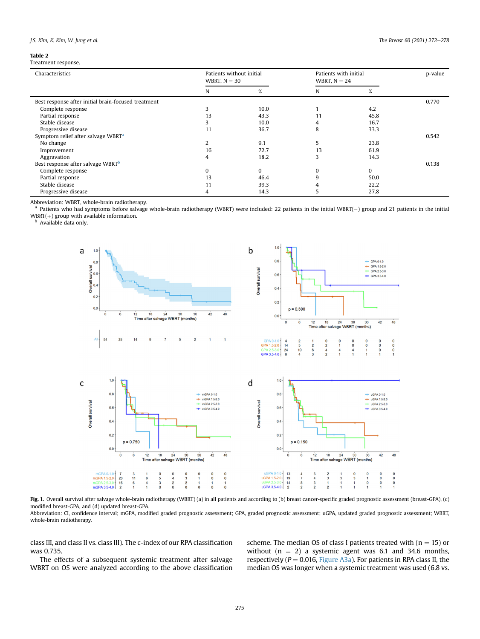# <span id="page-3-0"></span>Table 2

Treatment response.

| Characteristics                                     | Patients without initial<br>WBRT, $N = 30$ |          | Patients with initial<br>WBRT, $N = 24$ |          | p-value |
|-----------------------------------------------------|--------------------------------------------|----------|-----------------------------------------|----------|---------|
|                                                     | N                                          | %        | N                                       | %        |         |
| Best response after initial brain-focused treatment |                                            |          |                                         |          | 0.770   |
| Complete response                                   |                                            | 10.0     |                                         | 4.2      |         |
| Partial response                                    | 13                                         | 43.3     | 11                                      | 45.8     |         |
| Stable disease                                      |                                            | 10.0     |                                         | 16.7     |         |
| Progressive disease                                 | 11                                         | 36.7     | 8                                       | 33.3     |         |
| Symptom relief after salvage WBRT <sup>a</sup>      |                                            |          |                                         |          | 0.542   |
| No change                                           |                                            | 9.1      | 5                                       | 23.8     |         |
| Improvement                                         | 16                                         | 72.7     | 13                                      | 61.9     |         |
| Aggravation                                         | 4                                          | 18.2     |                                         | 14.3     |         |
| Best response after salvage WBRT <sup>b</sup>       |                                            |          |                                         |          | 0.138   |
| Complete response                                   |                                            | $\Omega$ |                                         | $\Omega$ |         |
| Partial response                                    | 13                                         | 46.4     | q                                       | 50.0     |         |
| Stable disease                                      | 11                                         | 39.3     |                                         | 22.2     |         |
| Progressive disease                                 |                                            | 14.3     |                                         | 27.8     |         |

Abbreviation: WBRT, whole-brain radiotherapy.

<span id="page-3-2"></span><sup>a</sup> Patients who had symptoms before salvage whole-brain radiotherapy (WBRT) were included: 22 patients in the initial WBRT(-) group and 21 patients in the initial WBRT(+) group with available information.<br><sup>b</sup> Available data only.

<span id="page-3-3"></span><span id="page-3-1"></span>



Fig. 1. Overall survival after salvage whole-brain radiotherapy (WBRT) (a) in all patients and according to (b) breast cancer-specific graded prognostic assessment (breast-GPA), (c) modified breast-GPA, and (d) updated breast-GPA.

Abbreviation: CI, confidence interval; mGPA, modified graded prognostic assessment; GPA, graded prognostic assessment; uGPA, updated graded prognostic assessment; WBRT, whole-brain radiotherapy.

class III, and class II vs. class III). The c-index of our RPA classification was 0.735.

The effects of a subsequent systemic treatment after salvage WBRT on OS were analyzed according to the above classification

scheme. The median OS of class I patients treated with  $(n = 15)$  or without  $(n = 2)$  a systemic agent was 6.1 and 34.6 months, respectively ( $P = 0.016$ , Figure A3a). For patients in RPA class II, the median OS was longer when a systemic treatment was used (6.8 vs.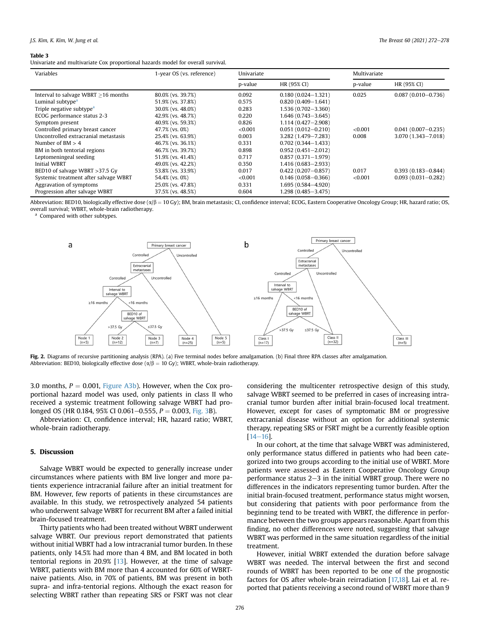#### <span id="page-4-0"></span>Table 3

Univariate and multivariate Cox proportional hazards model for overall survival.

| Variables                                 | 1-year OS (vs. reference) | Univariate |                        | Multivariate |                        |
|-------------------------------------------|---------------------------|------------|------------------------|--------------|------------------------|
|                                           |                           | p-value    | HR (95% CI)            | p-value      | HR (95% CI)            |
| Interval to salvage WBRT $\geq$ 16 months | 80.0% (vs. 39.7%)         | 0.092      | $0.180(0.024 - 1.321)$ | 0.025        | $0.087(0.010 - 0.736)$ |
| Luminal subtype <sup>a</sup>              | 51.9% (vs. 37.8%)         | 0.575      | $0.820(0.409 - 1.641)$ |              |                        |
| Triple negative subtype <sup>a</sup>      | 30.0% (vs. 48.0%)         | 0.283      | $1,536(0,702-3,360)$   |              |                        |
| ECOG performance status 2-3               | 42.9% (vs. 48.7%)         | 0.220      | $1.646(0.743 - 3.645)$ |              |                        |
| Symptom present                           | 40.9% (vs. 59.3%)         | 0.826      | 1.114 (0.427-2.908)    |              |                        |
| Controlled primary breast cancer          | 47.7% (vs. 0%)            | < 0.001    | $0.051(0.012 - 0.210)$ | < 0.001      | $0.041(0.007 - 0.235)$ |
| Uncontrolled extracranial metastasis      | 25.4% (vs. 63.9%)         | 0.003      | 3.282 (1.479-7.283)    | 0.008        | $3.070(1.343 - 7.018)$ |
| Number of $BM > 4$                        | 46.7% (vs. 36.1%)         | 0.331      | $0.702(0.344 - 1.433)$ |              |                        |
| BM in both tentorial regions              | 46.7% (vs. 39.7%)         | 0.898      | $0.952(0.451 - 2.012)$ |              |                        |
| Leptomeningeal seeding                    | 51.9% (vs. 41.4%)         | 0.717      | $0.857(0.371 - 1.979)$ |              |                        |
| <b>Initial WBRT</b>                       | 49.0% (vs. 42.2%)         | 0.350      | $1,416(0.683 - 2.933)$ |              |                        |
| BED10 of salvage WBRT $>37.5$ Gy          | 53.8% (vs. 33.9%)         | 0.017      | $0.422(0.207 - 0.857)$ | 0.017        | $0.393(0.183 - 0.844)$ |
| Systemic treatment after salvage WBRT     | 54.4% (vs. 0%)            | < 0.001    | $0.146(0.058 - 0.366)$ | < 0.001      | $0.093(0.031 - 0.282)$ |
| Aggravation of symptoms                   | 25.0% (vs. 47.8%)         | 0.331      | $1,695(0.584 - 4.920)$ |              |                        |
| Progression after salvage WBRT            | 37.5% (vs. 48.5%)         | 0.604      | $1,298$ (0.485-3.475)  |              |                        |

Abbreviation: BED10, biologically effective dose  $(\alpha/\beta = 10 \text{ Gy})$ ; BM, brain metastasis; CI, confidence interval; ECOG, Eastern Cooperative Oncology Group; HR, hazard ratio; OS, overall survival; WBRT, whole-brain radiotherapy.

<span id="page-4-2"></span><span id="page-4-1"></span><sup>a</sup> Compared with other subtypes.



Fig. 2. Diagrams of recursive partitioning analysis (RPA). (a) Five terminal nodes before amalgamation. (b) Final three RPA classes after amalgamation. Abbreviation: BED10, biologically effective dose ( $\alpha/\beta = 10$  Gy); WBRT, whole-brain radiotherapy.

3.0 months,  $P = 0.001$ , Figure A3b). However, when the Cox proportional hazard model was used, only patients in class II who received a systemic treatment following salvage WBRT had prolonged OS (HR 0.184, 95% CI 0.061–0.555,  $P = 0.003$ , [Fig. 3](#page-5-0)B).

Abbreviation: CI, confidence interval; HR, hazard ratio; WBRT, whole-brain radiotherapy.

# 5. Discussion

Salvage WBRT would be expected to generally increase under circumstances where patients with BM live longer and more patients experience intracranial failure after an initial treatment for BM. However, few reports of patients in these circumstances are available. In this study, we retrospectively analyzed 54 patients who underwent salvage WBRT for recurrent BM after a failed initial brain-focused treatment.

Thirty patients who had been treated without WBRT underwent salvage WBRT. Our previous report demonstrated that patients without initial WBRT had a low intracranial tumor burden. In these patients, only 14.5% had more than 4 BM, and BM located in both tentorial regions in 20.9% [[13\]](#page-6-10). However, at the time of salvage WBRT, patients with BM more than 4 accounted for 60% of WBRTnaive patients. Also, in 70% of patients, BM was present in both supra- and infra-tentorial regions. Although the exact reason for selecting WBRT rather than repeating SRS or FSRT was not clear

considering the multicenter retrospective design of this study, salvage WBRT seemed to be preferred in cases of increasing intracranial tumor burden after initial brain-focused local treatment. However, except for cases of symptomatic BM or progressive extracranial disease without an option for additional systemic therapy, repeating SRS or FSRT might be a currently feasible option  $[14-16]$  $[14-16]$  $[14-16]$  $[14-16]$  $[14-16]$ .

In our cohort, at the time that salvage WBRT was administered, only performance status differed in patients who had been categorized into two groups according to the initial use of WBRT. More patients were assessed as Eastern Cooperative Oncology Group performance status  $2-3$  in the initial WBRT group. There were no differences in the indicators representing tumor burden. After the initial brain-focused treatment, performance status might worsen, but considering that patients with poor performance from the beginning tend to be treated with WBRT, the difference in performance between the two groups appears reasonable. Apart from this finding, no other differences were noted, suggesting that salvage WBRT was performed in the same situation regardless of the initial treatment.

However, initial WBRT extended the duration before salvage WBRT was needed. The interval between the first and second rounds of WBRT has been reported to be one of the prognostic factors for OS after whole-brain reirradiation [\[17,](#page-6-12)[18](#page-6-13)]. Lai et al. reported that patients receiving a second round of WBRT more than 9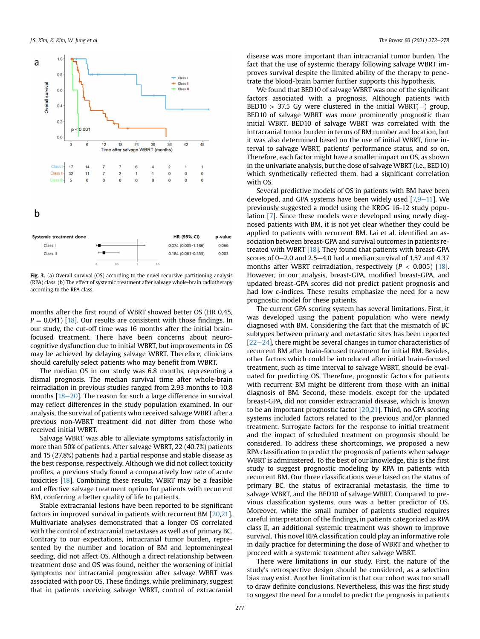<span id="page-5-0"></span>

Fig. 3. (a) Overall survival (OS) according to the novel recursive partitioning analysis (RPA) class. (b) The effect of systemic treatment after salvage whole-brain radiotherapy according to the RPA class.

months after the first round of WBRT showed better OS (HR 0.45,  $P = 0.041$  [[18\]](#page-6-13). Our results are consistent with those findings. In our study, the cut-off time was 16 months after the initial brainfocused treatment. There have been concerns about neurocognitive dysfunction due to initial WBRT, but improvements in OS may be achieved by delaying salvage WBRT. Therefore, clinicians should carefully select patients who may benefit from WBRT.

The median OS in our study was 6.8 months, representing a dismal prognosis. The median survival time after whole-brain reirradiation in previous studies ranged from 2.93 months to 10.8 months  $[18-20]$  $[18-20]$  $[18-20]$  $[18-20]$  $[18-20]$ . The reason for such a large difference in survival may reflect differences in the study population examined. In our analysis, the survival of patients who received salvage WBRT after a previous non-WBRT treatment did not differ from those who received initial WBRT.

Salvage WBRT was able to alleviate symptoms satisfactorily in more than 50% of patients. After salvage WBRT, 22 (40.7%) patients and 15 (27.8%) patients had a partial response and stable disease as the best response, respectively. Although we did not collect toxicity profiles, a previous study found a comparatively low rate of acute toxicities [[18\]](#page-6-13). Combining these results, WBRT may be a feasible and effective salvage treatment option for patients with recurrent BM, conferring a better quality of life to patients.

Stable extracranial lesions have been reported to be significant factors in improved survival in patients with recurrent BM [\[20,](#page-6-14)[21\]](#page-6-15). Multivariate analyses demonstrated that a longer OS correlated with the control of extracranial metastases as well as of primary BC. Contrary to our expectations, intracranial tumor burden, represented by the number and location of BM and leptomeningeal seeding, did not affect OS. Although a direct relationship between treatment dose and OS was found, neither the worsening of initial symptoms nor intracranial progression after salvage WBRT was associated with poor OS. These findings, while preliminary, suggest that in patients receiving salvage WBRT, control of extracranial disease was more important than intracranial tumor burden. The fact that the use of systemic therapy following salvage WBRT improves survival despite the limited ability of the therapy to penetrate the blood-brain barrier further supports this hypothesis.

We found that BED10 of salvage WBRT was one of the significant factors associated with a prognosis. Although patients with BED10 > 37.5 Gy were clustered in the initial WBRT( $-$ ) group, BED10 of salvage WBRT was more prominently prognostic than initial WBRT. BED10 of salvage WBRT was correlated with the intracranial tumor burden in terms of BM number and location, but it was also determined based on the use of initial WBRT, time interval to salvage WBRT, patients' performance status, and so on. Therefore, each factor might have a smaller impact on OS, as shown in the univariate analysis, but the dose of salvage WBRT (i.e., BED10) which synthetically reflected them, had a significant correlation with OS.

Several predictive models of OS in patients with BM have been developed, and GPA systems have been widely used  $[7,9-11]$  $[7,9-11]$  $[7,9-11]$  $[7,9-11]$  $[7,9-11]$ . We previously suggested a model using the KROG 16-12 study population [\[7](#page-6-6)]. Since these models were developed using newly diagnosed patients with BM, it is not yet clear whether they could be applied to patients with recurrent BM. Lai et al. identified an association between breast-GPA and survival outcomes in patients retreated with WBRT [\[18](#page-6-13)]. They found that patients with breast-GPA scores of  $0-2.0$  and  $2.5-4.0$  had a median survival of 1.57 and 4.37 months after WBRT reirradiation, respectively ( $P < 0.005$ ) [[18\]](#page-6-13). However, in our analysis, breast-GPA, modified breast-GPA, and updated breast-GPA scores did not predict patient prognosis and had low c-indices. These results emphasize the need for a new prognostic model for these patients.

The current GPA scoring system has several limitations. First, it was developed using the patient population who were newly diagnosed with BM. Considering the fact that the mismatch of BC subtypes between primary and metastatic sites has been reported  $[22-24]$  $[22-24]$  $[22-24]$  $[22-24]$ , there might be several changes in tumor characteristics of recurrent BM after brain-focused treatment for initial BM. Besides, other factors which could be introduced after initial brain-focused treatment, such as time interval to salvage WBRT, should be evaluated for predicting OS. Therefore, prognostic factors for patients with recurrent BM might be different from those with an initial diagnosis of BM. Second, these models, except for the updated breast-GPA, did not consider extracranial disease, which is known to be an important prognostic factor [[20](#page-6-14)[,21](#page-6-15)]. Third, no GPA scoring systems included factors related to the previous and/or planned treatment. Surrogate factors for the response to initial treatment and the impact of scheduled treatment on prognosis should be considered. To address these shortcomings, we proposed a new RPA classification to predict the prognosis of patients when salvage WBRT is administered. To the best of our knowledge, this is the first study to suggest prognostic modeling by RPA in patients with recurrent BM. Our three classifications were based on the status of primary BC, the status of extracranial metastasis, the time to salvage WBRT, and the BED10 of salvage WBRT. Compared to previous classification systems, ours was a better predictor of OS. Moreover, while the small number of patients studied requires careful interpretation of the findings, in patients categorized as RPA class II, an additional systemic treatment was shown to improve survival. This novel RPA classification could play an informative role in daily practice for determining the dose of WBRT and whether to proceed with a systemic treatment after salvage WBRT.

There were limitations in our study. First, the nature of the study's retrospective design should be considered, as a selection bias may exist. Another limitation is that our cohort was too small to draw definite conclusions. Nevertheless, this was the first study to suggest the need for a model to predict the prognosis in patients